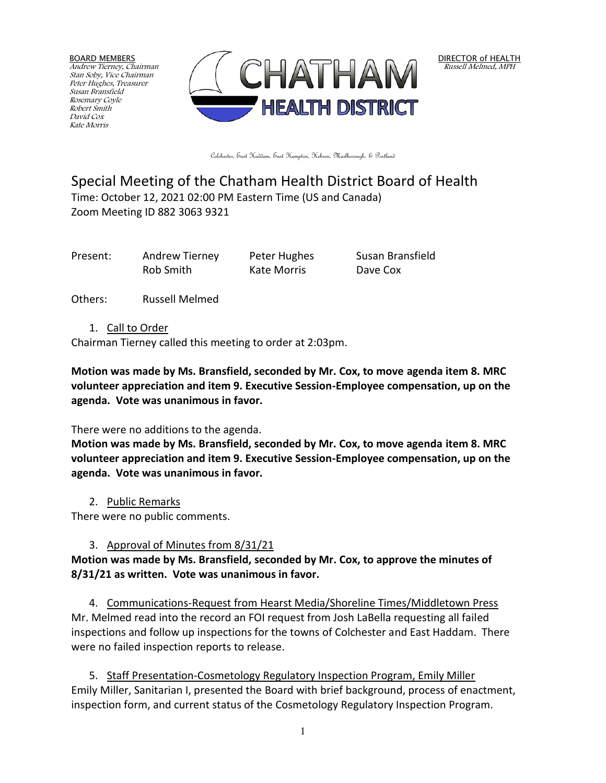BOARD MEMBERS Andrew Tierney, Chairman Stan Soby, Vice Chairman Peter Hughes, Treasurer Susan Bransfield Rosemary Coyle Robert Smith David Cox Kate Morris



DIRECTOR of HEALTH Russell Melmed, MPH

Colchester, East Haddam, East Hampton, Hebron, Marlborough, & Portland

# Special Meeting of the Chatham Health District Board of Health Time: October 12, 2021 02:00 PM Eastern Time (US and Canada)

Zoom Meeting ID 882 3063 9321

Present: Andrew Tierney Peter Hughes Susan Bransfield Rob Smith Kate Morris Dave Cox

Others: Russell Melmed

1. Call to Order

Chairman Tierney called this meeting to order at 2:03pm.

**Motion was made by Ms. Bransfield, seconded by Mr. Cox, to move agenda item 8. MRC volunteer appreciation and item 9. Executive Session-Employee compensation, up on the agenda. Vote was unanimous in favor.**

## There were no additions to the agenda.

**Motion was made by Ms. Bransfield, seconded by Mr. Cox, to move agenda item 8. MRC volunteer appreciation and item 9. Executive Session-Employee compensation, up on the agenda. Vote was unanimous in favor.**

2. Public Remarks

There were no public comments.

# 3. Approval of Minutes from 8/31/21

**Motion was made by Ms. Bransfield, seconded by Mr. Cox, to approve the minutes of 8/31/21 as written. Vote was unanimous in favor.**

4. Communications-Request from Hearst Media/Shoreline Times/Middletown Press Mr. Melmed read into the record an FOI request from Josh LaBella requesting all failed inspections and follow up inspections for the towns of Colchester and East Haddam. There were no failed inspection reports to release.

5. Staff Presentation-Cosmetology Regulatory Inspection Program, Emily Miller Emily Miller, Sanitarian I, presented the Board with brief background, process of enactment, inspection form, and current status of the Cosmetology Regulatory Inspection Program.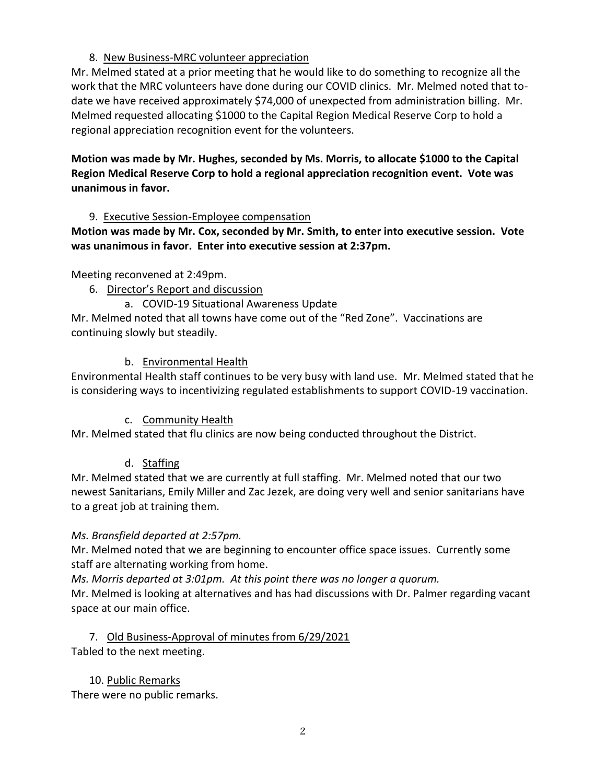#### 8. New Business-MRC volunteer appreciation

Mr. Melmed stated at a prior meeting that he would like to do something to recognize all the work that the MRC volunteers have done during our COVID clinics. Mr. Melmed noted that todate we have received approximately \$74,000 of unexpected from administration billing. Mr. Melmed requested allocating \$1000 to the Capital Region Medical Reserve Corp to hold a regional appreciation recognition event for the volunteers.

**Motion was made by Mr. Hughes, seconded by Ms. Morris, to allocate \$1000 to the Capital Region Medical Reserve Corp to hold a regional appreciation recognition event. Vote was unanimous in favor.**

#### 9. Executive Session-Employee compensation

**Motion was made by Mr. Cox, seconded by Mr. Smith, to enter into executive session. Vote was unanimous in favor. Enter into executive session at 2:37pm.**

Meeting reconvened at 2:49pm.

6. Director's Report and discussion

a. COVID-19 Situational Awareness Update Mr. Melmed noted that all towns have come out of the "Red Zone". Vaccinations are continuing slowly but steadily.

### b. Environmental Health

Environmental Health staff continues to be very busy with land use. Mr. Melmed stated that he is considering ways to incentivizing regulated establishments to support COVID-19 vaccination.

### c. Community Health

Mr. Melmed stated that flu clinics are now being conducted throughout the District.

### d. Staffing

Mr. Melmed stated that we are currently at full staffing. Mr. Melmed noted that our two newest Sanitarians, Emily Miller and Zac Jezek, are doing very well and senior sanitarians have to a great job at training them.

#### *Ms. Bransfield departed at 2:57pm.*

Mr. Melmed noted that we are beginning to encounter office space issues. Currently some staff are alternating working from home.

*Ms. Morris departed at 3:01pm. At this point there was no longer a quorum.*

Mr. Melmed is looking at alternatives and has had discussions with Dr. Palmer regarding vacant space at our main office.

### 7. Old Business-Approval of minutes from 6/29/2021 Tabled to the next meeting.

10. Public Remarks There were no public remarks.